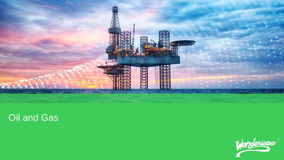

# Oil and Gas

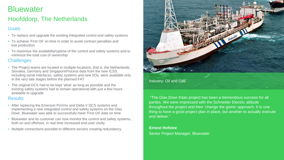# **Bluewater**

## Hoofddorp, The Netherlands

#### **Goals**

- To replace and upgrade the existing integrated control and safety systems
- To achieve 'First Oil' on time in order to avoid contract penalties and lost production
- To maximize the availability/uptime of the control and safety systems and to minimize the total cost of ownership

#### **Challenges**

- The Project teams are located in multiple locations, that is, the Netherlands, Slovakia, Germany and SingaporeProcess data from the new ICSS, including serial interfaces, safety systems and new I/Os, were available only in the very late stages before the planned FAT
- The original DCS had to be kept 'alive' as long as possible and the existing safety systems had to remain operational with just a few hours available to upgrade

#### **Results**

- After replacing the Emerson ProVox and Delta V DCS systems and implementing a new integrated control and safety systems on the Glas Dowr, Bluewater was able to successfully meet 'First Oil' date on time
- Bluewater and its customer can now monitor the control and safety systems, both on and offshore, in real time Increased end-user ctivity
- Multiple connections possible to different servers creating redundancy



"The Glas Dowr Kitan project has been a tremendous success for all parties. We were impressed with the Schneider Electric attitude throughout the project and their 'change the game' approach. It is one thing to have a good project plan in place, but another to actually execute and deliver."

#### **Ernest Hofstee** Senior Project Manager, Bluewater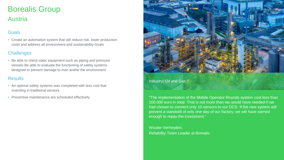# Borealis Group Austria

### **Goals**

• Create an automation system that will reduce risk, lower production costs and address all environment and sustainability Goals

#### **Challenges**

• Be able to check static equipment such as piping and pressure vessels Be able to evaluate the functioning of safety systems designed to prevent damage to man and/or the environment

#### **Results**

- An optimal safety systems was completed with less cost that inventing in traditional sensors
- Preventive maintenance are scheduled effectively



Industry: Oil and Gas

"The implementation of the Mobile Operator Rounds system cost less than 100.000 euro in total. That is not more than we would have needed if we had chosen to connect only 10 sensors to our DCS. If the new system will prevent a standstill of only one day of our factory, we will have earned enough to repay the investment."

Wouter Verheyden, Reliability Team Leader at Borealis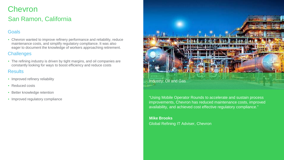## **Chevron** San Ramon, California

#### Goals

• Chevron wanted to improve refinery performance and reliability, reduce maintenance costs, and simplify regulatory compliance. It was also eager to document the knowledge of workers approaching retirement.

#### **Challenges**

• The refining industry is driven by tight margins, and oil companies are constantly looking for ways to boost efficiency and reduce costs

#### **Results**

- Improved refinery reliability
- Reduced costs
- Better knowledge retention
- Improved regulatory compliance



"Using Mobile Operator Rounds to accelerate and sustain process improvements, Chevron has reduced maintenance costs, improved availability, and achieved cost effective regulatory compliance."

**Mike Brooks** Global Refining IT Adviser, Chevron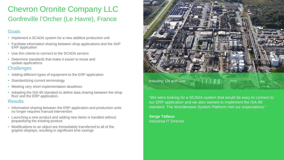# Chevron Oronite Company LLC Gonfreville l'Orcher (Le Havre), France

#### **Goals**

- Implement a SCADA system for a new additive production unit
- Facilitate information sharing between shop applications and the SAP ERP application
- Use thin clients to connect to the SCADA servers
- Determine standards that make it easier to reuse and update applications

#### **Challenges**

- Adding different types of equipment to the ERP application
- Standardizing current terminology
- Meeting very short implementation deadlines
- Adopting the ISA-95 standard to define data sharing between the shop floor and the ERP application.

#### **Results**

- Information sharing between the ERP application and production units no longer requires manual intervention
- Launching a new product and adding new items is handled without jeopardizing the existing product
- Modifications to an object are immediately transferred to all of the graphic displays, resulting in significant time savings



"We were looking for a SCADA system that would be easy to connect to our ERP application and we also wanted to implement the ISA-95 standard. The Wonderware System Platform met our expectations."

**Serge Talleux**  Industrial IT Director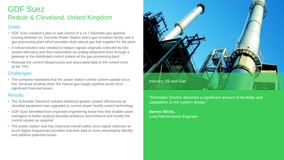## GDF Suez Redcar & Cleveland, United Kingdom

#### **Goals**

- GDF Suez initiated a plan to split control of a 14.7-kilometer gas pipeline running between its Teesside Power Station and a gas reception facility and a gas processing plant which provides dual natural gas fuel supplies for the plant
- A robust solution was needed to replace signals originally collected by kilostream telemetry and then transmitted via analog telephone lines through a gateway to the distributed control system at the gas processing plant
- Relocate the control Infrastructure and associated data to the control room at the TPS

#### **Challenges**

• The company mandated that the power station control system update occur live, because shutting down the natural gas supply pipeline would incur significant financial losses

#### Results

- The Schneider Electric® solution delivered greater system efficiencies as obsolete equipment was upgraded to current power facility control technology
- GDF Suez benefited from improved engineering know-how that enables plant managers to better analyze possible problems and enhance and modify the control system as required
- The power station now has improved overall safety since signal collection at much higher frequencies provides real-time data to more immediately identify and address potential issues



"Schneider Electric delivered a significant amount of flexibility and capabilities to the system design."

**Derren Wicks,**  Lead Maintenance Engineer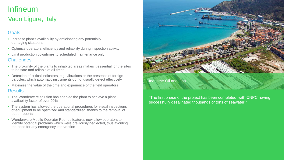# Infineum

## Vado Ligure, Italy

## **Goals**

- Increase plant's availability by anticipating any potentially damaging situations
- Optimize operators' efficiency and reliability during inspection activity
- Limit production downtimes to scheduled maintenance only

#### **Challenges**

- The proximity of the plants to inhabited areas makes it essential for the sites to be safe and reliable at all times
- Detection of critical indicators, e.g. vibrations or the presence of foreign particles, which automatic instruments do not usually detect effectively
- Maximize the value of the time and experience of the field operators

#### **Results**

- The Wonderware solution has enabled the plant to achieve a plant availability factor of over 90%
- The system has allowed the operational procedures for visual inspections of equipment to be optimized and standardized, thanks to the removal of paper reports
- Wonderware Mobile Operator Rounds features now allow operators to identify potential problems which were previously neglected, thus avoiding the need for any emergency intervention



#### Industry: Oil and Gas

"The first phase of the project has been completed, with CNPC having successfully desalinated thousands of tons of seawater."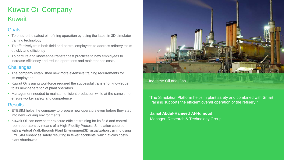# Kuwait Oil Company Kuwait

## **Goals**

- To ensure the safest oil refining operation by using the latest in 3D simulator training technology
- To effectively train both field and control employees to address refinery tasks quickly and efficiently
- To capture and knowledge-transfer best practices to new employees to increase efficiency and reduce operations and maintenance costs

#### **Challenges**

- The company established new more extensive training requirements for its employees
- Kuwait Oil's aging workforce required the successful transfer of knowledge to its new generation of plant operators
- Management needed to maintain efficient production while at the same time ensure worker safety and competence

#### **Results**

- EYESIM helps the company to prepare new operators even before they step into new working environments
- Kuwait Oil can now better execute efficient training for its field and control room operators by means of a High-Fidelity Process Simulation coupled with a Virtual Walk-through Plant Environment3D visualization training using EYESIM enhances safety resulting in fewer accidents, which avoids costly plant shutdowns



"The Simulation Platform helps in plant safety and combined with Smart Training supports the efficient overall operation of the refinery."

**Jamal Abdul-Hameed Al-Humoud** Manager, Research & Technology Group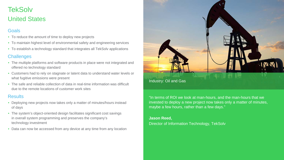# **TekSolv** United States

#### Goals

- To reduce the amount of time to deploy new projects
- To maintain highest level of environmental safety and engineering services
- To establish a technology standard that integrates all TekSolv applications

#### **Challenges**

- The multiple platforms and software products in place were not integrated and offered no technology standard
- Customers had to rely on stagnate or latent data to understand water levels or what fugitive emissions were present
- The safe and reliable collection of data in real-time information was difficult due to the remote locations of customer work sites

#### **Results**

- Deploying new projects now takes only a matter of minutes/hours instead of days
- The system's object-oriented design facilitates significant cost savings in overall system programming and preserves the company's technology investment
- Data can now be accessed from any device at any time from any location



"In terms of ROI we look at man-hours, and the man-hours that we invested to deploy a new project now takes only a matter of minutes, maybe a few hours, rather than a few days."

#### **Jason Reed,**  Director of Information Technology, TekSolv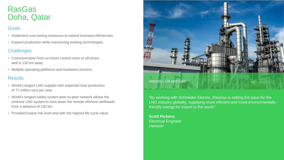# RasGas Doha, Qatar

## **Goals**

- Implement cost-saving measures to extend business efficiencies
- Expand production while maximizing existing technologies

## **Challenges**

- Communication from on-shore control room to off-shore well is 130 km away
- Multiple operating platforms and hardware versions

### **Results**

- World's largest LNG supplier with expected total production of 77 million tons per year
- World's longest safety system peer-to-peer network allows the onshore LNG system to shut-down the remote offshore wellheads from a distance of 130 km
- Provided lowest risk level and with the highest life cycle value



#### Industry: Oil and Gas

"By working with Schneider Electric, RasGas is setting the pace for the LNG industry globally, supplying more efficient and more environmentally friendly energy for export to the world."

**Scott Pickens** Electrical Engineer **Hanover**